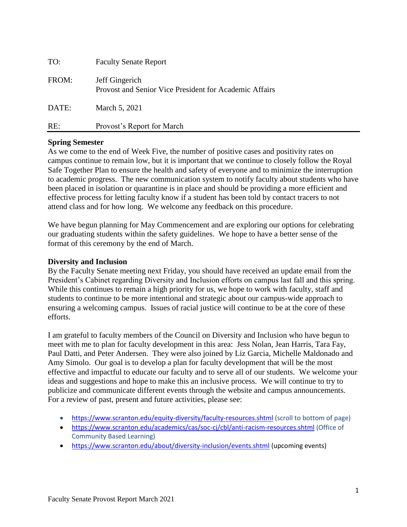| TO:   | <b>Faculty Senate Report</b>                                             |
|-------|--------------------------------------------------------------------------|
| FROM: | Jeff Gingerich<br>Provost and Senior Vice President for Academic Affairs |
| DATE: | March 5, 2021                                                            |
| RE:   | Provost's Report for March                                               |

# **Spring Semester**

As we come to the end of Week Five, the number of positive cases and positivity rates on campus continue to remain low, but it is important that we continue to closely follow the Royal Safe Together Plan to ensure the health and safety of everyone and to minimize the interruption to academic progress. The new communication system to notify faculty about students who have been placed in isolation or quarantine is in place and should be providing a more efficient and effective process for letting faculty know if a student has been told by contact tracers to not attend class and for how long. We welcome any feedback on this procedure.

We have begun planning for May Commencement and are exploring our options for celebrating our graduating students within the safety guidelines. We hope to have a better sense of the format of this ceremony by the end of March.

### **Diversity and Inclusion**

By the Faculty Senate meeting next Friday, you should have received an update email from the President's Cabinet regarding Diversity and Inclusion efforts on campus last fall and this spring. While this continues to remain a high priority for us, we hope to work with faculty, staff and students to continue to be more intentional and strategic about our campus-wide approach to ensuring a welcoming campus. Issues of racial justice will continue to be at the core of these efforts.

I am grateful to faculty members of the Council on Diversity and Inclusion who have begun to meet with me to plan for faculty development in this area: Jess Nolan, Jean Harris, Tara Fay, Paul Datti, and Peter Andersen. They were also joined by Liz Garcia, Michelle Maldonado and Amy Simolo. Our goal is to develop a plan for faculty development that will be the most effective and impactful to educate our faculty and to serve all of our students. We welcome your ideas and suggestions and hope to make this an inclusive process. We will continue to try to publicize and communicate different events through the website and campus announcements. For a review of past, present and future activities, please see:

- <https://www.scranton.edu/equity-diversity/faculty-resources.shtml> (scroll to bottom of page)
- <https://www.scranton.edu/academics/cas/soc-cj/cbl/anti-racism-resources.shtml> (Office of Community Based Learning)
- <https://www.scranton.edu/about/diversity-inclusion/events.shtml> (upcoming events)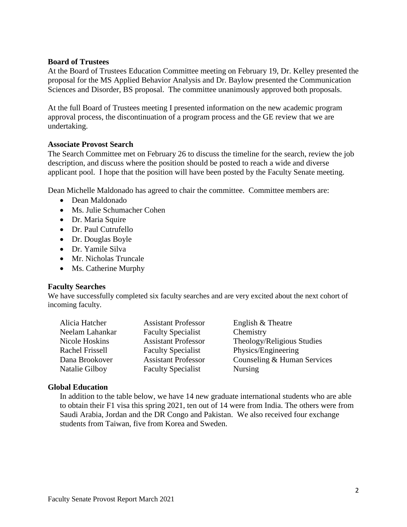### **Board of Trustees**

At the Board of Trustees Education Committee meeting on February 19, Dr. Kelley presented the proposal for the MS Applied Behavior Analysis and Dr. Baylow presented the Communication Sciences and Disorder, BS proposal. The committee unanimously approved both proposals.

At the full Board of Trustees meeting I presented information on the new academic program approval process, the discontinuation of a program process and the GE review that we are undertaking.

### **Associate Provost Search**

The Search Committee met on February 26 to discuss the timeline for the search, review the job description, and discuss where the position should be posted to reach a wide and diverse applicant pool. I hope that the position will have been posted by the Faculty Senate meeting.

Dean Michelle Maldonado has agreed to chair the committee. Committee members are:

- Dean Maldonado
- Ms. Julie Schumacher Cohen
- Dr. Maria Squire
- Dr. Paul Cutrufello
- Dr. Douglas Boyle
- Dr. Yamile Silva
- Mr. Nicholas Truncale
- Ms. Catherine Murphy

#### **Faculty Searches**

We have successfully completed six faculty searches and are very excited about the next cohort of incoming faculty.

| Alicia Hatcher         | <b>Assistant Professor</b> | English & Theatre           |
|------------------------|----------------------------|-----------------------------|
| Neelam Lahankar        | <b>Faculty Specialist</b>  | Chemistry                   |
| Nicole Hoskins         | <b>Assistant Professor</b> | Theology/Religious Studies  |
| <b>Rachel Frissell</b> | <b>Faculty Specialist</b>  | Physics/Engineering         |
| Dana Brookover         | <b>Assistant Professor</b> | Counseling & Human Services |
| Natalie Gilboy         | <b>Faculty Specialist</b>  | <b>Nursing</b>              |

#### **Global Education**

In addition to the table below, we have 14 new graduate international students who are able to obtain their F1 visa this spring 2021, ten out of 14 were from India. The others were from Saudi Arabia, Jordan and the DR Congo and Pakistan. We also received four exchange students from Taiwan, five from Korea and Sweden.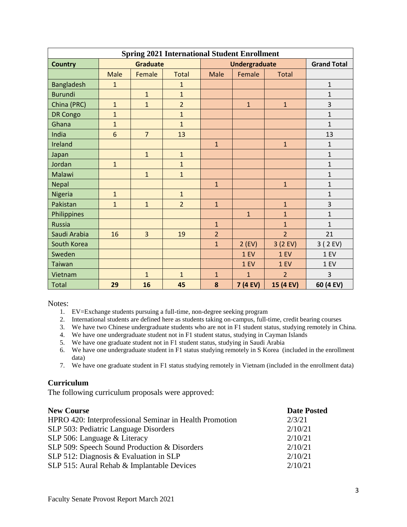| <b>Spring 2021 International Student Enrollment</b> |                 |                |                |                |                      |                    |              |
|-----------------------------------------------------|-----------------|----------------|----------------|----------------|----------------------|--------------------|--------------|
| <b>Country</b>                                      | <b>Graduate</b> |                |                |                | <b>Undergraduate</b> | <b>Grand Total</b> |              |
|                                                     | <b>Male</b>     | Female         | <b>Total</b>   | Male           | Female               | <b>Total</b>       |              |
| <b>Bangladesh</b>                                   | $\mathbf{1}$    |                | $\mathbf{1}$   |                |                      |                    | $\mathbf{1}$ |
| <b>Burundi</b>                                      |                 | $\mathbf{1}$   | $\mathbf{1}$   |                |                      |                    | $\mathbf{1}$ |
| China (PRC)                                         | $\mathbf{1}$    | $\mathbf{1}$   | $\overline{2}$ |                | $\mathbf{1}$         | $\mathbf{1}$       | 3            |
| <b>DR Congo</b>                                     | $\mathbf{1}$    |                | $\mathbf{1}$   |                |                      |                    | $\mathbf{1}$ |
| Ghana                                               | $\overline{1}$  |                | $\overline{1}$ |                |                      |                    | $\mathbf{1}$ |
| India                                               | 6               | $\overline{7}$ | 13             |                |                      |                    | 13           |
| Ireland                                             |                 |                |                | $\mathbf{1}$   |                      | $\mathbf{1}$       | $1\,$        |
| Japan                                               |                 | $\mathbf{1}$   | $\mathbf{1}$   |                |                      |                    | $\mathbf{1}$ |
| Jordan                                              | $\mathbf{1}$    |                | $\mathbf{1}$   |                |                      |                    | $\mathbf{1}$ |
| Malawi                                              |                 | $\mathbf{1}$   | $\mathbf{1}$   |                |                      |                    | $\mathbf{1}$ |
| Nepal                                               |                 |                |                | $\mathbf{1}$   |                      | $\mathbf{1}$       | $\mathbf{1}$ |
| Nigeria                                             | $\mathbf{1}$    |                | $\mathbf{1}$   |                |                      |                    | $\mathbf{1}$ |
| Pakistan                                            | $\mathbf{1}$    | $\mathbf{1}$   | $\overline{2}$ | $\mathbf{1}$   |                      | $\mathbf{1}$       | 3            |
| Philippines                                         |                 |                |                |                | $\mathbf{1}$         | $\mathbf{1}$       | $\mathbf{1}$ |
| <b>Russia</b>                                       |                 |                |                | $\mathbf{1}$   |                      | $\mathbf{1}$       | $\mathbf{1}$ |
| Saudi Arabia                                        | 16              | $\overline{3}$ | 19             | $\overline{2}$ |                      | $\overline{2}$     | 21           |
| South Korea                                         |                 |                |                | $\overline{1}$ | $2$ (EV)             | 3(2EV)             | 3 ( 2 EV)    |
| Sweden                                              |                 |                |                |                | 1 EV                 | 1 EV               | 1 EV         |
| Taiwan                                              |                 |                |                |                | 1 EV                 | 1 EV               | 1 EV         |
| Vietnam                                             |                 | $\mathbf{1}$   | $\mathbf{1}$   | $\mathbf{1}$   | $\overline{1}$       | $\overline{2}$     | 3            |
| <b>Total</b>                                        | 29              | 16             | 45             | 8              | 7 (4 EV)             | 15 (4 EV)          | 60 (4 EV)    |

Notes:

- 1. EV=Exchange students pursuing a full-time, non-degree seeking program
- 2. International students are defined here as students taking on-campus, full-time, credit bearing courses
- 3. We have two Chinese undergraduate students who are not in F1 student status, studying remotely in China.
- 4. We have one undergraduate student not in F1 student status, studying in Cayman Islands
- 5. We have one graduate student not in F1 student status, studying in Saudi Arabia
- 6. We have one undergraduate student in F1 status studying remotely in S Korea (included in the enrollment data)
- 7. We have one graduate student in F1 status studying remotely in Vietnam (included in the enrollment data)

# **Curriculum**

The following curriculum proposals were approved:

| <b>New Course</b>                                       | <b>Date Posted</b> |
|---------------------------------------------------------|--------------------|
| HPRO 420: Interprofessional Seminar in Health Promotion | 2/3/21             |
| SLP 503: Pediatric Language Disorders                   | 2/10/21            |
| SLP 506: Language & Literacy                            | 2/10/21            |
| SLP 509: Speech Sound Production & Disorders            | 2/10/21            |
| SLP 512: Diagnosis & Evaluation in SLP                  | 2/10/21            |
| SLP 515: Aural Rehab & Implantable Devices              | 2/10/21            |